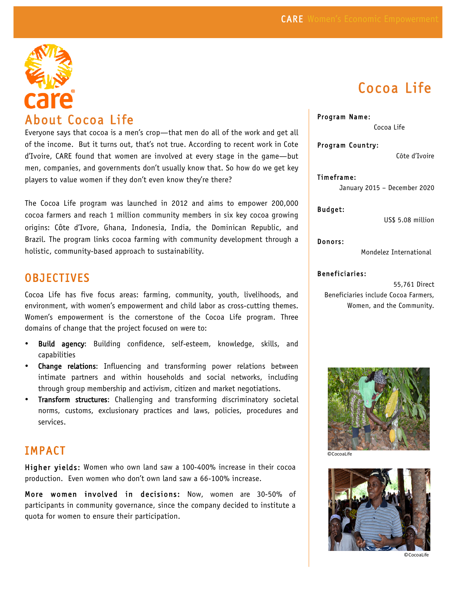

About Cocoa Life<br>Everyone says that cocoa is a men's crop—that men do all of the work and get all of the income. But it turns out, that's not true. According to recent work in Cote d'Ivoire, CARE found that women are involved at every stage in the game—but men, companies, and governments don't usually know that. So how do we get key players to value women if they don't even know they're there?

The Cocoa Life program was launched in 2012 and aims to empower 200,000 cocoa farmers and reach 1 million community members in six key cocoa growing origins: Côte d'Ivore, Ghana, Indonesia, India, the Dominican Republic, and Brazil. The program links cocoa farming with community development through a holistic, community-based approach to sustainability.

## **OBJECTIVES**

Cocoa Life has five focus areas: farming, community, youth, livelihoods, and environment, with women's empowerment and child labor as cross-cutting themes. Women's empowerment is the cornerstone of the Cocoa Life program. Three domains of change that the project focused on were to:

- Build agency: Building confidence, self-esteem, knowledge, skills, and capabilities
- Change relations: Influencing and transforming power relations between intimate partners and within households and social networks, including through group membership and activism, citizen and market negotiations.
- **Transform structures:** Challenging and transforming discriminatory societal norms, customs, exclusionary practices and laws, policies, procedures and services.

## IMPACT

Higher yields: Women who own land saw a 100-400% increase in their cocoa production. Even women who don't own land saw a 66-100% increase.

More women involved in decisions: Now, women are 30-50% of participants in community governance, since the company decided to institute a quota for women to ensure their participation.

# Cocoa Life

#### Program Name:

Cocoa Life

Program Country:

Côte d'Ivoire

Timeframe: January 2015 – December 2020

Budget:

US\$ 5.08 million

Donors:

Mondelez International

#### Beneficiaries:

55,761 Direct Beneficiaries include Cocoa Farmers, Women, and the Community.



©CocoaLife



©CocoaLife